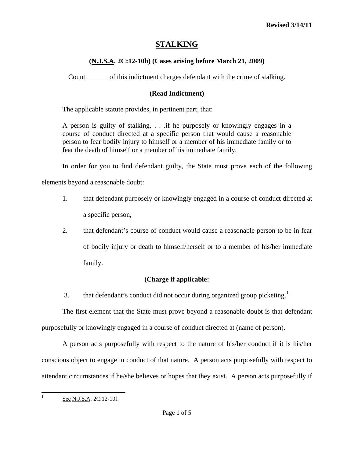# **STALKING**

## **(N.J.S.A. 2C:12-10b) (Cases arising before March 21, 2009)**

Count of this indictment charges defendant with the crime of stalking.

## **(Read Indictment)**

The applicable statute provides, in pertinent part, that:

A person is guilty of stalking. . . .if he purposely or knowingly engages in a course of conduct directed at a specific person that would cause a reasonable person to fear bodily injury to himself or a member of his immediate family or to fear the death of himself or a member of his immediate family.

In order for you to find defendant guilty, the State must prove each of the following

elements beyond a reasonable doubt:

- 1. that defendant purposely or knowingly engaged in a course of conduct directed at a specific person,
- 2. that defendant's course of conduct would cause a reasonable person to be in fear of bodily injury or death to himself/herself or to a member of his/her immediate family.

## **(Charge if applicable:**

3. that defendant's conduct did not occur during organized group picketing.<sup>[1](#page-0-0)</sup>

 The first element that the State must prove beyond a reasonable doubt is that defendant purposefully or knowingly engaged in a course of conduct directed at (name of person).

 A person acts purposefully with respect to the nature of his/her conduct if it is his/her conscious object to engage in conduct of that nature. A person acts purposefully with respect to attendant circumstances if he/she believes or hopes that they exist. A person acts purposefully if

<span id="page-0-0"></span> $\frac{1}{1}$ 

See N.J.S.A. 2C:12-10f.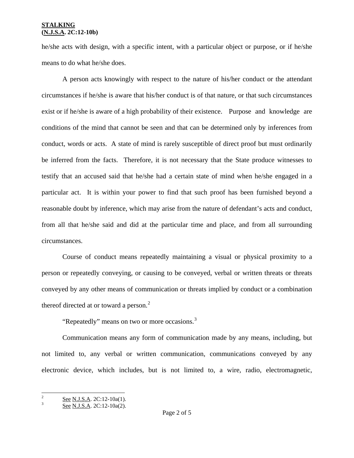### **STALKING (N.J.S.A. 2C:12-10b)**

he/she acts with design, with a specific intent, with a particular object or purpose, or if he/she means to do what he/she does.

 A person acts knowingly with respect to the nature of his/her conduct or the attendant circumstances if he/she is aware that his/her conduct is of that nature, or that such circumstances exist or if he/she is aware of a high probability of their existence. Purpose and knowledge are conditions of the mind that cannot be seen and that can be determined only by inferences from conduct, words or acts. A state of mind is rarely susceptible of direct proof but must ordinarily be inferred from the facts. Therefore, it is not necessary that the State produce witnesses to testify that an accused said that he/she had a certain state of mind when he/she engaged in a particular act. It is within your power to find that such proof has been furnished beyond a reasonable doubt by inference, which may arise from the nature of defendant's acts and conduct, from all that he/she said and did at the particular time and place, and from all surrounding circumstances.

 Course of conduct means repeatedly maintaining a visual or physical proximity to a person or repeatedly conveying, or causing to be conveyed, verbal or written threats or threats conveyed by any other means of communication or threats implied by conduct or a combination thereof directed at or toward a person.<sup>[2](#page-0-0)</sup>

"Repeatedly" means on two or more occasions.<sup>[3](#page-1-0)</sup>

<span id="page-1-1"></span> Communication means any form of communication made by any means, including, but not limited to, any verbal or written communication, communications conveyed by any electronic device, which includes, but is not limited to, a wire, radio, electromagnetic,

<sup>&</sup>lt;sup>2</sup>  $\frac{6}{3}$  See N.J.S.A. 2C:12-10a(1).

<span id="page-1-0"></span>See N.J.S.A. 2C:12-10a(2).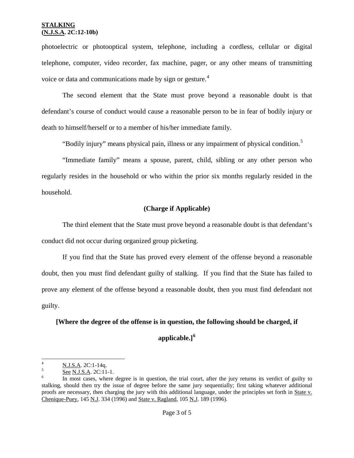### **STALKING (N.J.S.A. 2C:12-10b)**

photoelectric or photooptical system, telephone, including a cordless, cellular or digital telephone, computer, video recorder, fax machine, pager, or any other means of transmitting voice or data and communications made by sign or gesture.<sup>[4](#page-1-1)</sup>

 The second element that the State must prove beyond a reasonable doubt is that defendant's course of conduct would cause a reasonable person to be in fear of bodily injury or death to himself/herself or to a member of his/her immediate family.

"Bodily injury" means physical pain, illness or any impairment of physical condition.<sup>[5](#page-2-0)</sup>

 "Immediate family" means a spouse, parent, child, sibling or any other person who regularly resides in the household or who within the prior six months regularly resided in the household.

### **(Charge if Applicable)**

 The third element that the State must prove beyond a reasonable doubt is that defendant's conduct did not occur during organized group picketing.

 If you find that the State has proved every element of the offense beyond a reasonable doubt, then you must find defendant guilty of stalking. If you find that the State has failed to prove any element of the offense beyond a reasonable doubt, then you must find defendant not guilty.

**[Where the degree of the offense is in question, the following should be charged, if** 

**applicable.][6](#page-2-1)**

 $\frac{1}{4}$  $\frac{1}{5}$  N.J.S.A. 2C:1-14q.

<span id="page-2-0"></span>See N.J.S.A. 2C:11-1.

<span id="page-2-2"></span><span id="page-2-1"></span>In most cases, where degree is in question, the trial court, after the jury returns its verdict of guilty to stalking, should then try the issue of degree before the same jury sequentially; first taking whatever additional proofs are necessary, then charging the jury with this additional language, under the principles set forth in State v. Chenique-Puey, 145 N.J. 334 (1996) and State v. Ragland, 105 N.J. 189 (1996).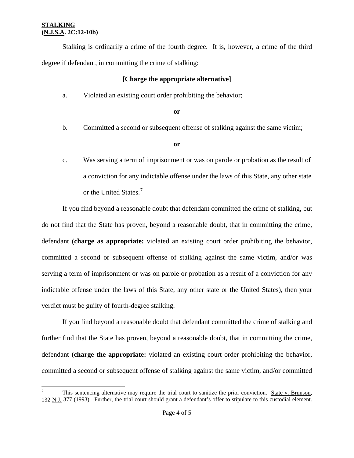$\overline{a}$ 

 Stalking is ordinarily a crime of the fourth degree. It is, however, a crime of the third degree if defendant, in committing the crime of stalking:

### **[Charge the appropriate alternative]**

a. Violated an existing court order prohibiting the behavior;

#### **or**

b. Committed a second or subsequent offense of stalking against the same victim;

#### **or**

 c. Was serving a term of imprisonment or was on parole or probation as the result of a conviction for any indictable offense under the laws of this State, any other state or the United States.<sup>[7](#page-2-2)</sup>

 If you find beyond a reasonable doubt that defendant committed the crime of stalking, but do not find that the State has proven, beyond a reasonable doubt, that in committing the crime, defendant **(charge as appropriate:** violated an existing court order prohibiting the behavior, committed a second or subsequent offense of stalking against the same victim, and/or was serving a term of imprisonment or was on parole or probation as a result of a conviction for any indictable offense under the laws of this State, any other state or the United States), then your verdict must be guilty of fourth-degree stalking.

 If you find beyond a reasonable doubt that defendant committed the crime of stalking and further find that the State has proven, beyond a reasonable doubt, that in committing the crime, defendant **(charge the appropriate:** violated an existing court order prohibiting the behavior, committed a second or subsequent offense of stalking against the same victim, and/or committed

<span id="page-3-0"></span><sup>7</sup> This sentencing alternative may require the trial court to sanitize the prior conviction. State v. Brunson, 132 N.J. 377 (1993). Further, the trial court should grant a defendant's offer to stipulate to this custodial element.